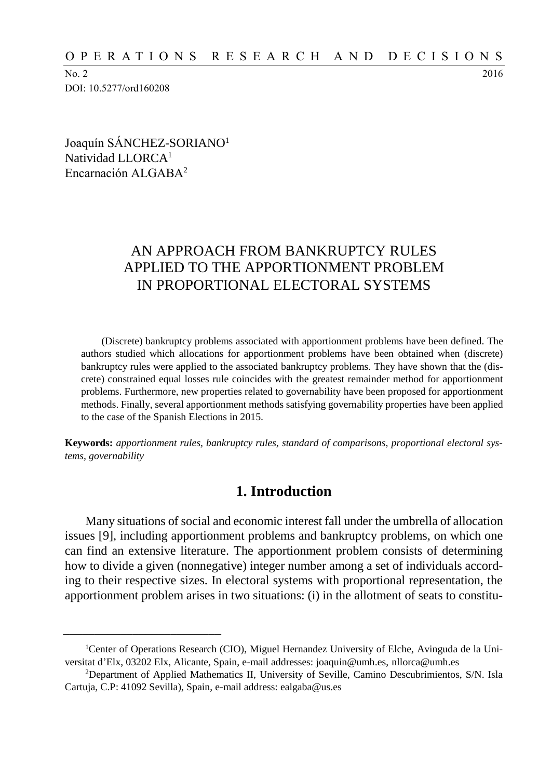No. 2 2016 DOI: 10.5277/ord160208

Joaquín SÁNCHEZ-SORIANO<sup>1</sup> Natividad LLORCA<sup>1</sup> Encarnación ALGABA<sup>2</sup>

\_\_\_\_\_\_\_\_\_\_\_\_\_\_\_\_\_\_\_\_\_\_\_\_\_

# AN APPROACH FROM BANKRUPTCY RULES APPLIED TO THE APPORTIONMENT PROBLEM IN PROPORTIONAL ELECTORAL SYSTEMS

(Discrete) bankruptcy problems associated with apportionment problems have been defined. The authors studied which allocations for apportionment problems have been obtained when (discrete) bankruptcy rules were applied to the associated bankruptcy problems. They have shown that the (discrete) constrained equal losses rule coincides with the greatest remainder method for apportionment problems. Furthermore, new properties related to governability have been proposed for apportionment methods. Finally, several apportionment methods satisfying governability properties have been applied to the case of the Spanish Elections in 2015.

**Keywords:** *apportionment rules, bankruptcy rules, standard of comparisons, proportional electoral systems, governability*

# **1. Introduction**

Many situations of social and economic interest fall under the umbrella of allocation issues [9], including apportionment problems and bankruptcy problems, on which one can find an extensive literature. The apportionment problem consists of determining how to divide a given (nonnegative) integer number among a set of individuals according to their respective sizes. In electoral systems with proportional representation, the apportionment problem arises in two situations: (i) in the allotment of seats to constitu-

<sup>&</sup>lt;sup>1</sup>Center of Operations Research (CIO), Miguel Hernandez University of Elche, Avinguda de la Universitat d'Elx, 03202 Elx, Alicante, Spain, e-mail addresses: [joaquin@umh.es,](mailto:joaquin@umh.es) [nllorca@umh.es](mailto:nllorca@umh.es)

<sup>2</sup>Department of Applied Mathematics II, University of Seville, Camino Descubrimientos, S/N. Isla Cartuja, C.P: 41092 Sevilla), Spain, e-mail address: [ealgaba@us.es](mailto:ealgaba@us.es)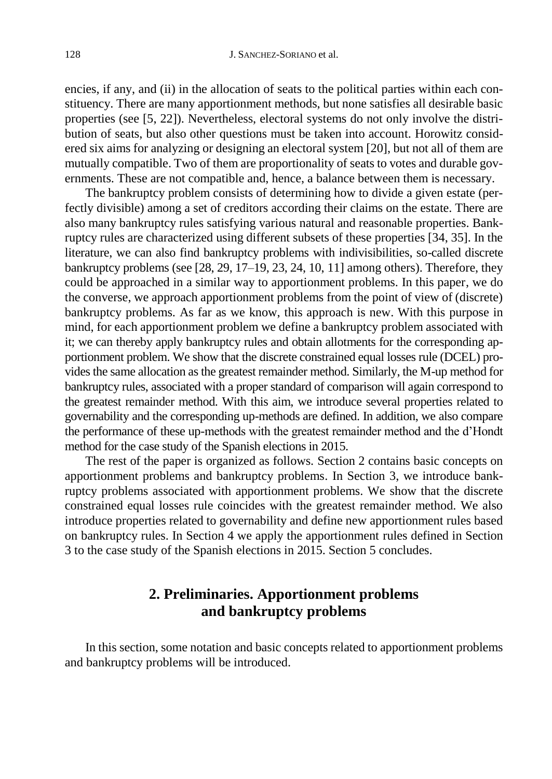encies, if any, and (ii) in the allocation of seats to the political parties within each constituency. There are many apportionment methods, but none satisfies all desirable basic properties (see [5, 22]). Nevertheless, electoral systems do not only involve the distribution of seats, but also other questions must be taken into account. Horowitz considered six aims for analyzing or designing an electoral system [20], but not all of them are mutually compatible. Two of them are proportionality of seats to votes and durable governments. These are not compatible and, hence, a balance between them is necessary.

The bankruptcy problem consists of determining how to divide a given estate (perfectly divisible) among a set of creditors according their claims on the estate. There are also many bankruptcy rules satisfying various natural and reasonable properties. Bankruptcy rules are characterized using different subsets of these properties [34, 35]. In the literature, we can also find bankruptcy problems with indivisibilities, so-called discrete bankruptcy problems (see [28, 29, 17–19, 23, 24, 10, 11] among others). Therefore, they could be approached in a similar way to apportionment problems. In this paper, we do the converse, we approach apportionment problems from the point of view of (discrete) bankruptcy problems. As far as we know, this approach is new. With this purpose in mind, for each apportionment problem we define a bankruptcy problem associated with it; we can thereby apply bankruptcy rules and obtain allotments for the corresponding apportionment problem. We show that the discrete constrained equal losses rule (DCEL) provides the same allocation as the greatest remainder method. Similarly, the M-up method for bankruptcy rules, associated with a proper standard of comparison will again correspond to the greatest remainder method. With this aim, we introduce several properties related to governability and the corresponding up-methods are defined. In addition, we also compare the performance of these up-methods with the greatest remainder method and the d'Hondt method for the case study of the Spanish elections in 2015.

The rest of the paper is organized as follows. Section 2 contains basic concepts on apportionment problems and bankruptcy problems. In Section 3, we introduce bankruptcy problems associated with apportionment problems. We show that the discrete constrained equal losses rule coincides with the greatest remainder method. We also introduce properties related to governability and define new apportionment rules based on bankruptcy rules. In Section 4 we apply the apportionment rules defined in Section 3 to the case study of the Spanish elections in 2015. Section 5 concludes.

# **2. Preliminaries. Apportionment problems and bankruptcy problems**

In this section, some notation and basic concepts related to apportionment problems and bankruptcy problems will be introduced.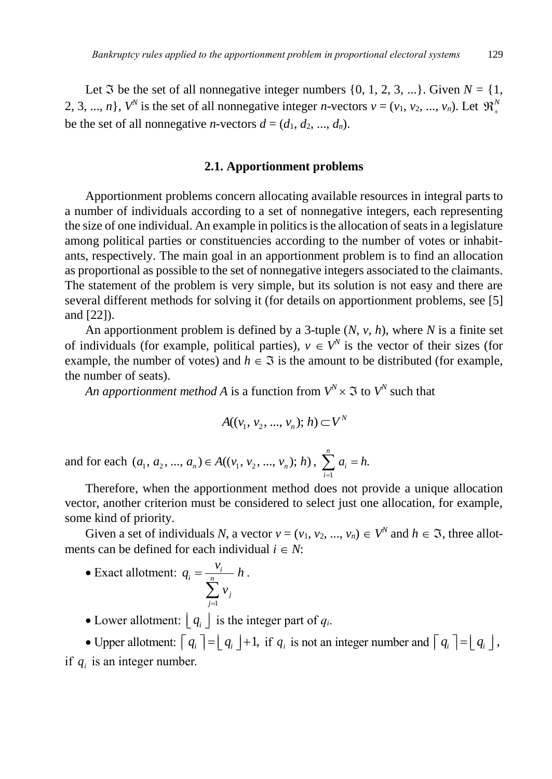Let  $\Im$  be the set of all nonnegative integer numbers  $\{0, 1, 2, 3, ...\}$ . Given  $N = \{1,$ 2, 3, ..., *n*},  $V^N$  is the set of all nonnegative integer *n*-vectors  $v = (v_1, v_2, ..., v_n)$ . Let  $\mathfrak{R}^N_+$ be the set of all nonnegative *n*-vectors  $d = (d_1, d_2, ..., d_n)$ .

#### **2.1. Apportionment problems**

Apportionment problems concern allocating available resources in integral parts to a number of individuals according to a set of nonnegative integers, each representing the size of one individual. An example in politics is the allocation of seats in a legislature among political parties or constituencies according to the number of votes or inhabitants, respectively. The main goal in an apportionment problem is to find an allocation as proportional as possible to the set of nonnegative integers associated to the claimants. The statement of the problem is very simple, but its solution is not easy and there are several different methods for solving it (for details on apportionment problems, see [5] and [22]).

An apportionment problem is defined by a 3-tuple (*N*, *v*, *h*), where *N* is a finite set of individuals (for example, political parties),  $v \in V^N$  is the vector of their sizes (for example, the number of votes) and  $h \in \Im$  is the amount to be distributed (for example, the number of seats).

*An apportionment method A* is a function from  $V^N \times \Im$  to  $V^N$  such that

$$
A((v_1, v_2, ..., v_n); h) \subset V^N
$$

and for each  $(a_1, a_2, ..., a_n) \in A((v_1, v_2, ..., v_n); h)$ ,  $\sum_{i=1}^n a_i$  $\sum_{i=1}^{n} a_i = h.$  $\sum_{i=1}$ <sup> $\alpha_i$ </sup>  $a_i = h$  $\sum_{i=1}^{\infty} a_i =$ 

Therefore, when the apportionment method does not provide a unique allocation vector, another criterion must be considered to select just one allocation, for example, some kind of priority.

Given a set of individuals *N*, a vector  $v = (v_1, v_2, ..., v_n) \in V^N$  and  $h \in \mathfrak{I}$ , three allotments can be defined for each individual  $i \in N$ :

• Exact allotment: 
$$
q_i = \frac{v_i}{\sum_{j=1}^{n} v_j} h
$$
.

• Lower allotment:  $\lfloor q_i \rfloor$  is the integer part of  $q_i$ .

• Upper allotment:  $\begin{bmatrix} q_i \end{bmatrix} = \begin{bmatrix} q_i \end{bmatrix} + 1$ , if  $q_i$  is not an integer number and  $\begin{bmatrix} q_i \end{bmatrix} = \begin{bmatrix} q_i \end{bmatrix}$ , if  $q_i$  is an integer number.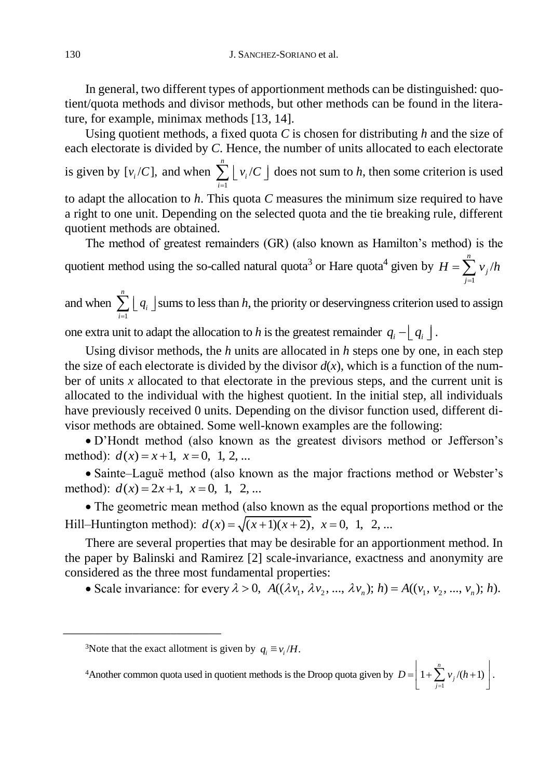In general, two different types of apportionment methods can be distinguished: quotient/quota methods and divisor methods, but other methods can be found in the literature, for example, minimax methods [13, 14].

Using quotient methods, a fixed quota *C* is chosen for distributing *h* and the size of each electorate is divided by *C*. Hence, the number of units allocated to each electorate is given by  $[v_i/C]$ , and when 1  $\sum_{i=1}^{n} |v_i|$ ∠ L '*i*<br>*i*=1  $v_i/C$  $\sum_{i=1}$   $\lfloor v_i/C \rfloor$  does not sum to *h*, then some criterion is used to adapt the allocation to *h*. This quota *C* measures the minimum size required to have a right to one unit. Depending on the selected quota and the tie breaking rule, different quotient methods are obtained.

The method of greatest remainders (GR) (also known as Hamilton's method) is the quotient method using the so-called natural quota<sup>3</sup> or Hare quota<sup>4</sup> given by 1  $\sum_{i=1}^{n} v_i$  $\sum_{j=1}^{\prime}$   $\frac{1}{j}$  $H = \sum v_i / h$  $=\sum_{j=1}^{\infty}$ 

and when 1 *n* ∠ L 9*i*<br>*i*=1 *q*  $\sum_{i=1}^{\infty} \lfloor q_i \rfloor$  sums to less than *h*, the priority or deservingness criterion used to assign

one extra unit to adapt the allocation to *h* is the greatest remainder  $q_i - \lfloor q_i \rfloor$ .

Using divisor methods, the *h* units are allocated in *h* steps one by one, in each step the size of each electorate is divided by the divisor  $d(x)$ , which is a function of the number of units *x* allocated to that electorate in the previous steps, and the current unit is allocated to the individual with the highest quotient. In the initial step, all individuals have previously received 0 units. Depending on the divisor function used, different divisor methods are obtained. Some well-known examples are the following:

 D'Hondt method (also known as the greatest divisors method or Jefferson's method):  $d(x) = x+1$ ,  $x = 0$ , 1, 2, ...

 Sainte–Laguë method (also known as the major fractions method or Webster's • same-Lague method (also know<br>method):  $d(x) = 2x + 1$ ,  $x = 0$ , 1, 2, ...

 The geometric mean method (also known as the equal proportions method or the • The geometric mean method (also known as the equal prop<br>Hill–Huntington method):  $d(x) = \sqrt{(x+1)(x+2)}$ ,  $x = 0$ , 1, 2, ...

There are several properties that may be desirable for an apportionment method. In the paper by Balinski and Ramirez [2] scale-invariance, exactness and anonymity are considered as the three most fundamental properties: paper by Bannski and Ranniez [2] scale-invariance, exactness and anonymity are sidered as the three most fundamental properties:<br>
• Scale invariance: for every  $\lambda > 0$ ,  $A((\lambda v_1, \lambda v_2, ..., \lambda v_n); h) = A((v_1, v_2, ..., v_n); h)$ .

\_\_\_\_\_\_\_\_\_\_\_\_\_\_\_\_\_\_\_\_\_\_\_\_\_

<sup>4</sup>Another common quota used in quotient methods is the Droop quota given by  $D = \left(1 + \sum_{j=1}^{n} v_j/(h+1)\right)$ .  $D = \left(1 + \sum_{j=1}^{n} v_j / (h \right)$  $=\left[1+\sum_{j=1}^n v_j/(h+1)\right].$ 

<sup>&</sup>lt;sup>3</sup>Note that the exact allotment is given by  $q_i \equiv v_i/H$ .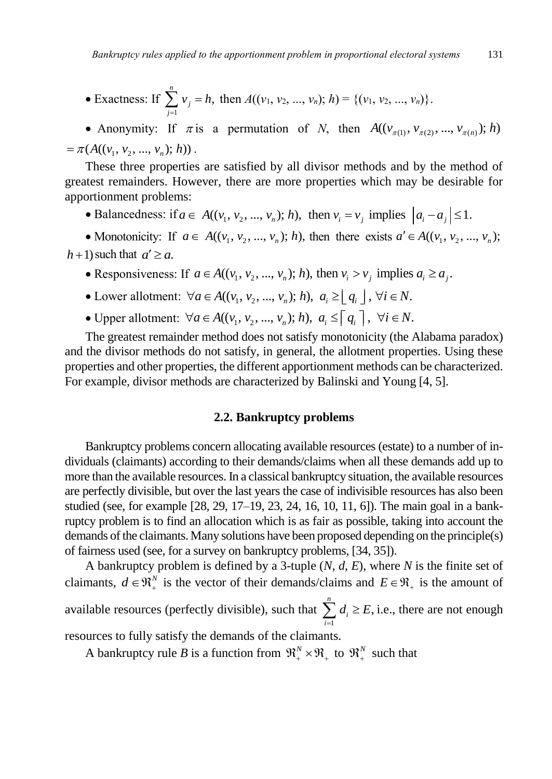• Exactness: If 
$$
\sum_{j=1}^{n} v_j = h
$$
, then  $A((v_1, v_2, ..., v_n); h) = \{(v_1, v_2, ..., v_n)\}.$ 

• Anonymity: If  $\pi$  is a permutation of *N*, then  $A((v_{\pi(1)}, v_{\pi(2)}, ..., v_{\pi(n)}); h)$  $= \pi(A((v_1, v_2, ..., v_n); h))$ .

These three properties are satisfied by all divisor methods and by the method of greatest remainders. However, there are more properties which may be desirable for apportionment problems: test remainders. However, there are more properties which may be desirable for<br>ortionment problems:<br>• Balancedness: if  $a \in A((v_1, v_2, ..., v_n); h)$ , then  $v_i = v_j$  implies  $|a_i - a_j| \le 1$ .

• Monotonicity: If  $a \in A((v_1, v_2, ..., v_n); h)$ , then there exists  $a' \in A((v_1, v_2, ..., v_n); h)$  $h+1$ ) such that  $a' \ge a$ . 1) such that  $a' \ge a$ .<br>
• Responsiveness: If  $a \in A((v_1, v_2, ..., v_n); h)$ , then  $v_i > v_j$  implies  $a_i \ge a_j$ .

\n- Responseing Poisson functions: If 
$$
a \in A((v_1, v_2, ..., v_n); h)
$$
, then  $v_i > v_j$  implies  $a_i$ .
\n- Lower allotment:  $\forall a \in A((v_1, v_2, ..., v_n); h)$ ,  $a_i \geq \lfloor q_i \rfloor$ ,  $\forall i \in N$ .
\n

• Lower allotment:  $\forall a \in A((v_1, v_2, ..., v_n); h), a_i \ge \lfloor q_i \rfloor, \forall i \in N.$ <br>• Upper allotment:  $\forall a \in A((v_1, v_2, ..., v_n); h), a_i \le \lceil q_i \rceil, \forall i \in N.$ 

The greatest remainder method does not satisfy monotonicity (the Alabama paradox) and the divisor methods do not satisfy, in general, the allotment properties. Using these properties and other properties, the different apportionment methods can be characterized. For example, divisor methods are characterized by Balinski and Young [4, 5].

### **2.2. Bankruptcy problems**

Bankruptcy problems concern allocating available resources (estate) to a number of individuals (claimants) according to their demands/claims when all these demands add up to more than the available resources. In a classical bankruptcy situation, the available resources are perfectly divisible, but over the last years the case of indivisible resources has also been studied (see, for example [28, 29, 17–19, 23, 24, 16, 10, 11, 6]). The main goal in a bankruptcy problem is to find an allocation which is as fair as possible, taking into account the demands of the claimants. Many solutions have been proposed depending on the principle(s) of fairness used (see, for a survey on bankruptcy problems, [34, 35]).

A bankruptcy problem is defined by a 3-tuple (*N*, *d*, *E*), where *N* is the finite set of claimants,  $d \in \mathbb{R}^N_+$  is the vector of their demands/claims and  $E \in \mathbb{R}^N_+$  is the amount of available resources (perfectly divisible), such that 1  $\sum_{i=1}^{n} d_i \geq E$ ,  $\sum_{i=1}$ <sup> $a_i$ </sup>  $d_i \geq E$  $\sum_{i=1}^{n} d_i \ge E$ , i.e., there are not enough resources to fully satisfy the demands of the claimants.

A bankruptcy rule *B* is a function from  $\mathfrak{R}^N_+ \times \mathfrak{R}_+$  to  $\mathfrak{R}^N_+$  such that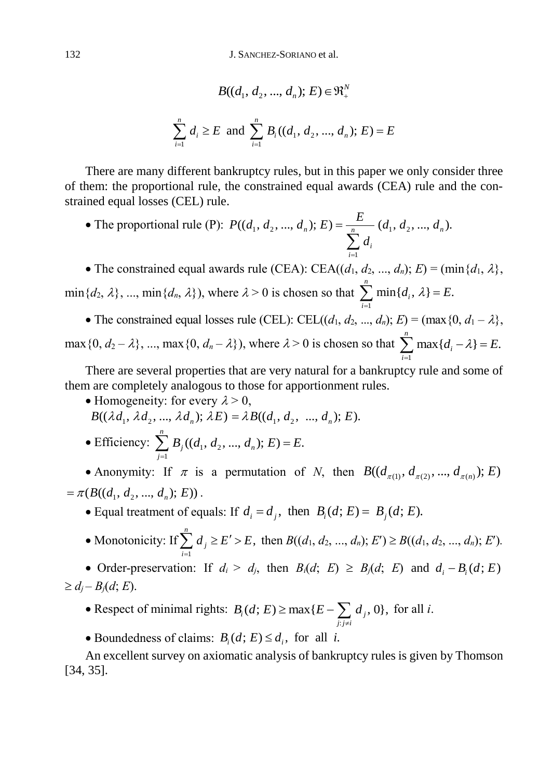132 J. SANCHEZ-SORIANO et al.

$$
B((d_1, d_2, ..., d_n); E) \in \mathfrak{R}^N_+
$$
  

$$
\sum_{i=1}^n d_i \ge E \text{ and } \sum_{i=1}^n B_i((d_1, d_2, ..., d_n); E) = E
$$

There are many different bankruptcy rules, but in this paper we only consider three of them: the proportional rule, the constrained equal awards (CEA) rule and the constrained equal losses (CEL) rule.

• The proportional rule (P):  $P((d_1, d_2, ..., d_n); E) = \frac{E}{\sqrt{n}} (d_1, d_2, ..., d_n)$ . 1 *i i E*  $P((d_1, d_2, ..., d_n); E) = \frac{E}{\frac{n}{d_1}}(d_1, d_2, ..., d_n)$ *d*  $\overline{a}$  $=$  $\sum$ 

• The constrained equal awards rule (CEA): CEA( $(d_1, d_2, ..., d_n)$ ; *E*) = (min $\{d_1, \lambda\}$ ,  $\min\{d_2, \lambda\}, \dots, \min\{d_n, \lambda\}$ , where  $\lambda > 0$  is chosen so that 1  $\sum_{i=1}^{n}$  min{ $d_i$ ,  $\lambda$ } = E.  $\sum_{i=1}$  **index**  $\mathbf{u}_i$  $d_i$ ,  $\lambda$ } = *E*  $\sum_{i=1}$  min{ $d_i$ ,  $\lambda$ } =

• The constrained equal losses rule (CEL): CEL(( $d_1, d_2, ..., d_n$ );  $E$ ) = (max{0,  $d_1 - \lambda$ },  $\max\{0, d_2 - \lambda\}, \dots, \max\{0, d_n - \lambda\}$ , where  $\lambda > 0$  is chosen so that  $\sum_{n=1}^{n} \max\{d_i - \lambda\} = E$ . 1  $d_i - \lambda$  = E *i*  $\sum_{i=1}^{n} \max\{d_i - \lambda\} = E$ 

There are several properties that are very natural for a bankruptcy rule and some of them are completely analogous to those for apportionment rules.

- Homogeneity: for every  $\lambda > 0$ ,
- $B((\lambda d_1, \lambda d_2, ..., \lambda d_n); \lambda E) = \lambda B((d_1, d_2, ..., d_n); E).$
- Efficiency:  $\sum_{j=1}^{n} B_j((d_1, d_2, ..., d_n); E) = E.$  $\sum_{j=1}^{n} B_j((d_1, d_2, ..., d_n); E) = E$

• Anonymity: If  $\pi$  is a permutation of *N*, then  $B((d_{\pi(1)}, d_{\pi(2)}, ..., d_{\pi(n)}); E)$  $= \pi(B((d_1, d_2, ..., d_n); E))$ .

- ( $B((a_1, a_2, ..., a_n); E)$ ).<br>
 Equal treatment of equals: If  $d_i = d_j$ , then  $B_i(d; E) = B_j(d; E)$ .
- Monotonicity: If 1  $\sum_{i=1}^{n} d_i \geq E' > E,$  $\sum_{i=1}^{\infty}$ <sup>*u*</sup><sub>j</sub>  $d_i \geq E' > E$  $\sum_{i=1}^{\infty} d_i \ge E' > E$ , then  $B((d_1, d_2, ..., d_n); E') \ge B((d_1, d_2, ..., d_n); E')$ .

• Order-preservation: If  $d_i > d_j$ , then  $B_i(d; E) \geq B_j(d; E)$  and  $d_i - B_i(d; E)$  $\geq d_i - B_i(d; E).$ 

- Respect of minimal rights:  $\mathcal{E}_i(d; E) \ge \max\{E - \sum_{j:j \neq i} d_j, 0\},\,$  $B_i(d; E) \ge \max\{E - \sum_{j: j \neq i} d_j, 0\}$ , for all *i*.
- Boundedness of claims:  $B_i(d; E) \le d_i$ , for all *i*.

An excellent survey on axiomatic analysis of bankruptcy rules is given by Thomson [34, 35].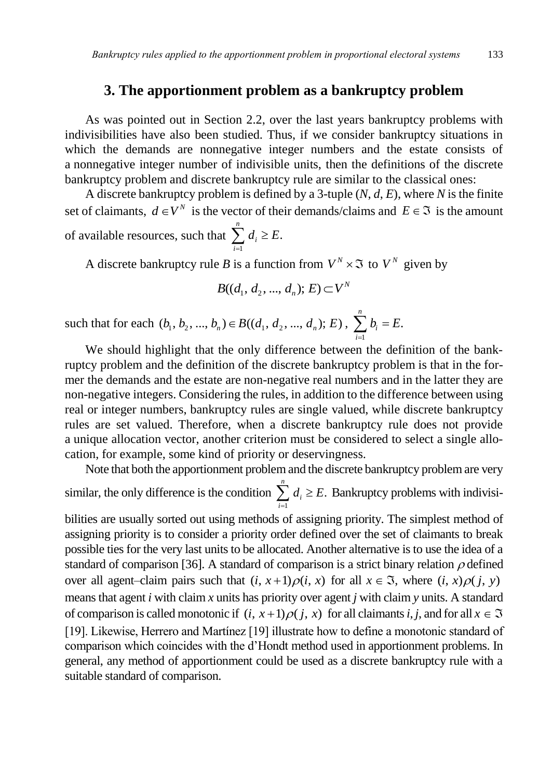## **3. The apportionment problem as a bankruptcy problem**

As was pointed out in Section 2.2, over the last years bankruptcy problems with indivisibilities have also been studied. Thus, if we consider bankruptcy situations in which the demands are nonnegative integer numbers and the estate consists of a nonnegative integer number of indivisible units, then the definitions of the discrete bankruptcy problem and discrete bankruptcy rule are similar to the classical ones:

A discrete bankruptcy problem is defined by a 3-tuple (*N*, *d*, *E*), where *N* is the finite set of claimants,  $d \in V^N$  is the vector of their demands/claims and  $E \in \mathfrak{I}$  is the amount of available resources, such that 1  $\sum_{i=1}^{n} d_i \geq E.$  $\sum_{i=1}$ <sup> $\alpha_i$ </sup>  $d_i \geq E$  $\sum_{i=1} d_i \geq$ 

A discrete bankruptcy rule *B* is a function from  $V^N \times \mathfrak{I}$  to  $V^N$  given by

$$
B((d_1, d_2, ..., d_n); E) \subset V^N
$$

such that for each  $(b_1, b_2, ..., b_n) \in B((d_1, d_2, ..., d_n); E)$ ,  $\sum_{i=1}^{n}$  $\sum_{i=1}^{n} b_i = E.$  $\sum_{i=1}$ <sup> $\nu_i$ </sup>  $b_i = E$  $\sum_{i=1} b_i =$ 

We should highlight that the only difference between the definition of the bankruptcy problem and the definition of the discrete bankruptcy problem is that in the former the demands and the estate are non-negative real numbers and in the latter they are non-negative integers. Considering the rules, in addition to the difference between using real or integer numbers, bankruptcy rules are single valued, while discrete bankruptcy rules are set valued. Therefore, when a discrete bankruptcy rule does not provide a unique allocation vector, another criterion must be considered to select a single allocation, for example, some kind of priority or deservingness.

Note that both the apportionment problem and the discrete bankruptcy problem are very similar, the only difference is the condition 1  $\sum_{i=1}^{n} d_i \geq E.$  $\sum_{i=1}$ <sup> $\alpha_i$ </sup>  $d_i \geq E$  $\sum_{i=1} d_i \geq E$ . Bankruptcy problems with indivisi-

bilities are usually sorted out using methods of assigning priority. The simplest method of assigning priority is to consider a priority order defined over the set of claimants to break possible ties for the very last units to be allocated. Another alternative is to use the idea of a standard of comparison [36]. A standard of comparison is a strict binary relation  $\rho$  defined over all agent–claim pairs such that  $(i, x+1)\rho(i, x)$  for all  $x \in \mathfrak{I}$ , where  $(i, x)\rho(j, y)$ means that agent *i* with claim *x* units has priority over agent *j* with claim *y* units. A standard of comparison is called monotonic if  $(i, x+1)\rho(j, x)$  for all claimants *i*, *j*, and for all  $x \in \mathfrak{I}$ [19]. Likewise, Herrero and Martínez [19] illustrate how to define a monotonic standard of comparison which coincides with the d'Hondt method used in apportionment problems. In general, any method of apportionment could be used as a discrete bankruptcy rule with a suitable standard of comparison.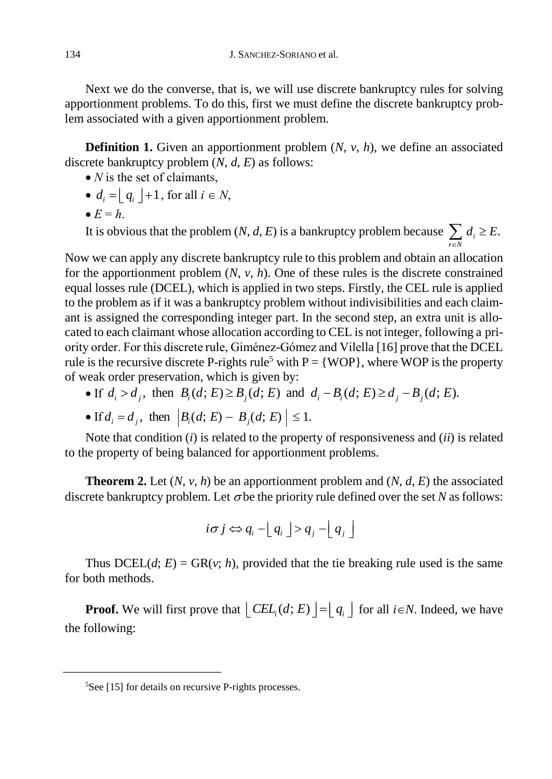Next we do the converse, that is, we will use discrete bankruptcy rules for solving apportionment problems. To do this, first we must define the discrete bankruptcy problem associated with a given apportionment problem.

**Definition 1.** Given an apportionment problem (*N*, *v*, *h*), we define an associated discrete bankruptcy problem (*N*, *d*, *E*) as follows:

- *N* is the set of claimants,
- $d_i = \lfloor q_i \rfloor + 1$ , for all  $i \in N$ ,
- $\bullet$   $E = h$ .

It is obvious that the problem  $(N, d, E)$  is a bankruptcy problem because  $\sum_{r \in N} d_i \ge E$ .  $d_i \geq E$  $\sum_{i \in N} d_i \geq$ 

Now we can apply any discrete bankruptcy rule to this problem and obtain an allocation for the apportionment problem (*N*, *v*, *h*). One of these rules is the discrete constrained equal losses rule (DCEL), which is applied in two steps. Firstly, the CEL rule is applied to the problem as if it was a bankruptcy problem without indivisibilities and each claimant is assigned the corresponding integer part. In the second step, an extra unit is allocated to each claimant whose allocation according to CEL is not integer, following a priority order. For this discrete rule, Giménez-Gómez and Vilella [16] prove that the DCEL rule is the recursive discrete P-rights rule<sup>5</sup> with  $P = \{WOP\}$ , where WOP is the property of weak order preservation, which is given by: is the recursive discrete P-rights rule<sup>5</sup> with P = {WOP}, where WOP is the reak order preservation, which is given by:<br>
• If  $d_i > d_j$ , then  $B_i(d; E) \ge B_j(d; E)$  and  $d_i - B_i(d; E) \ge d_j - B_j(d; E)$ .

- 
- If  $a_i > a_j$ , then  $B_i(a, E) \ge B_j(a, E)$  and  $a_i$  -<br>• If  $d_i = d_j$ , then  $|B_i(d; E) B_j(d; E)| \le 1$ .

Note that condition (*i*) is related to the property of responsiveness and (*ii*) is related to the property of being balanced for apportionment problems.

**Theorem 2.** Let  $(N, v, h)$  be an apportionment problem and  $(N, d, E)$  the associated discrete bankruptcy problem. Let  $\sigma$  be the priority rule defined over the set *N* as follows:

$$
i\sigma j \Leftrightarrow q_i - \lfloor q_i \rfloor > q_j - \lfloor q_j \rfloor
$$

Thus  $DCEL(d; E) = GR(v; h)$ , provided that the tie breaking rule used is the same for both methods.

**Proof.** We will first prove that  $\left[ \text{CEL}_i(d; E) \right] = \left[ q_i \right]$  for all  $i \in N$ . Indeed, we have the following:

\_\_\_\_\_\_\_\_\_\_\_\_\_\_\_\_\_\_\_\_\_\_\_\_\_

<sup>5</sup>See [15] for details on recursive P-rights processes.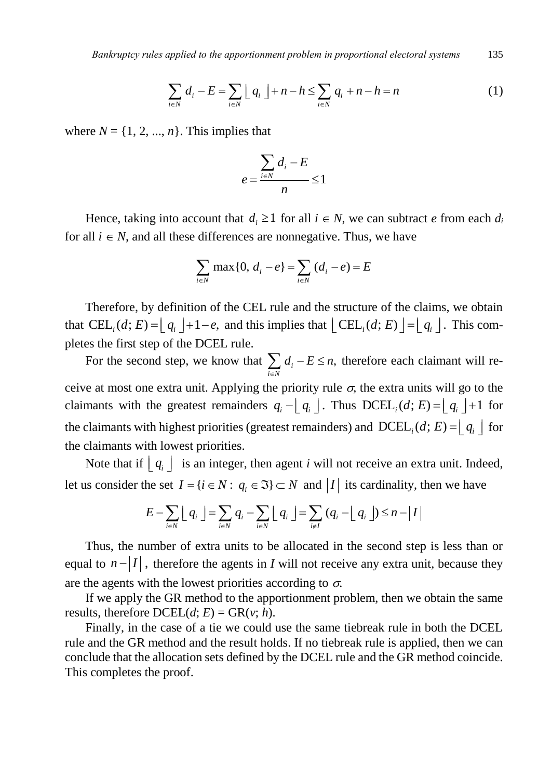*Bankruptcy rules applied to the apportionment problem in proportional electrical systems* 135\n
$$
\sum_{i \in N} d_i - E = \sum_{i \in N} \lfloor q_i \rfloor + n - h \le \sum_{i \in N} q_i + n - h = n \tag{1}
$$

where  $N = \{1, 2, ..., n\}$ . This implies that

$$
e = \frac{\sum_{i \in N} d_i - E}{n} \le 1
$$

Hence, taking into account that  $d_i \geq 1$  for all  $i \in N$ , we can subtract *e* from each  $d_i$ for all  $i \in N$ , and all these differences are nonnegative. Thus, we have

$$
\sum_{i \in N} \max\{0, d_i - e\} = \sum_{i \in N} (d_i - e) = E
$$

Therefore, by definition of the CEL rule and the structure of the claims, we obtain that  $\text{CEL}_i(d; E) = \lfloor q_i \rfloor + 1 - e$ , and this implies that  $\lfloor \text{CEL}_i(d; E) \rfloor = \lfloor q_i \rfloor$ . This completes the first step of the DCEL rule.

For the second step, we know that  $\sum d_i - E \le n$ , therefore each claimant will re*i N*  $\in$ ceive at most one extra unit. Applying the priority rule  $\sigma$ , the extra units will go to the claimants with the greatest remainders  $q_i - \lfloor q_i \rfloor$ . Thus  $DCEL_i(d; E) = \lfloor q_i \rfloor + 1$  for the claimants with highest priorities (greatest remainders) and  $DCEL_i(d; E) = [q_i]$  for the claimants with lowest priorities.

Note that if  $\lfloor q_i \rfloor$  is an integer, then agent *i* will not receive an extra unit. Indeed, let us consider the set  $I = \{i \in N : q_i \in \mathfrak{I}\} \subset N$  and  $|I|$  its cardinality, then we have  $E - \sum_{i \in N} \lfloor q_i \rfloor = \sum_{i \in N} q_i - \sum_{i \in N} \lfloor q_i \rfloor = \sum_{i \in I} (q_i - \lfloor q_i \rfloor) \le n - |I|$ 

$$
E - \sum_{i \in N} \lfloor q_i \rfloor = \sum_{i \in N} q_i - \sum_{i \in N} \lfloor q_i \rfloor = \sum_{i \notin I} (q_i - \lfloor q_i \rfloor) \le n - |I|
$$

Thus, the number of extra units to be allocated in the second step is less than or equal to  $n - |I|$ , therefore the agents in *I* will not receive any extra unit, because they are the agents with the lowest priorities according to  $\sigma$ .

If we apply the GR method to the apportionment problem, then we obtain the same results, therefore  $DCELL(d; E) = \text{GR}(v; h)$ .

Finally, in the case of a tie we could use the same tiebreak rule in both the DCEL rule and the GR method and the result holds. If no tiebreak rule is applied, then we can conclude that the allocation sets defined by the DCEL rule and the GR method coincide. This completes the proof.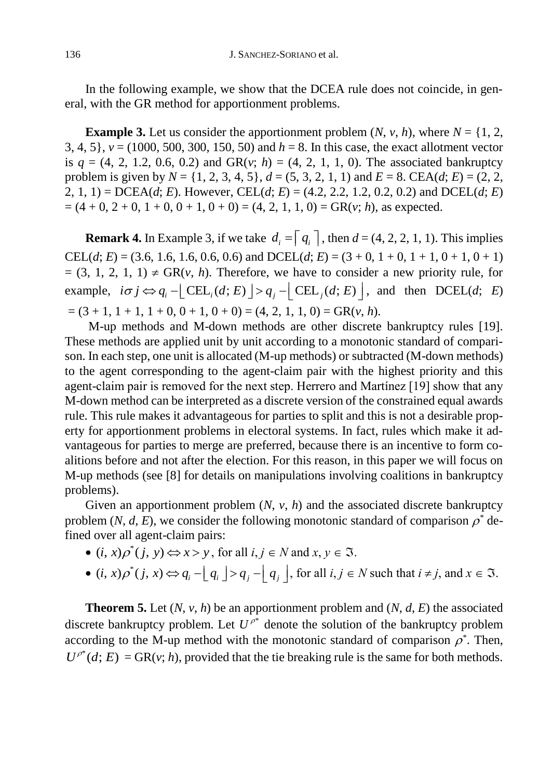In the following example, we show that the DCEA rule does not coincide, in general, with the GR method for apportionment problems.

**Example 3.** Let us consider the apportionment problem  $(N, v, h)$ , where  $N = \{1, 2, \ldots, h\}$ 3, 4, 5}, *v* = (1000, 500, 300, 150, 50) and *h* = 8. In this case, the exact allotment vector is  $q = (4, 2, 1.2, 0.6, 0.2)$  and GR( $v$ ;  $h$ ) = (4, 2, 1, 1, 0). The associated bankruptcy problem is given by  $N = \{1, 2, 3, 4, 5\}, d = (5, 3, 2, 1, 1)$  and  $E = 8$ . CEA(*d*; *E*) = (2, 2, 2, 1, 1) = DCEA(*d*; *E*). However, CEL(*d*; *E*) = (4.2, 2.2, 1.2, 0.2, 0.2) and DCEL(*d*; *E*)  $=(4 + 0, 2 + 0, 1 + 0, 0 + 1, 0 + 0) = (4, 2, 1, 1, 0) = GR(v; h)$ , as expected.

**Remark 4.** In Example 3, if we take  $d_i = |q_i|$ , then  $d = (4, 2, 2, 1, 1)$ . This implies CEL(*d*; *E*) = (3.6, 1.6, 1.6, 0.6, 0.6) and DCEL(*d*; *E*) = (3 + 0, 1 + 0, 1 + 1, 0 + 1, 0 + 1)  $=(3, 1, 2, 1, 1) \neq \text{GR}(v, h)$ . Therefore, we have to consider a new priority rule, for example, 1, 1)  $\neq$  GR(*v*, *h*). Therefore, we have to consider a n<br>  $i\sigma j \Leftrightarrow q_i - \left[ \text{CEL}_i(d; E) \right] > q_j - \left[ \text{CEL}_j(d; E) \right]$ , and and then DCEL(*d*; *E*)  $=(3 + 1, 1 + 1, 1 + 0, 0 + 1, 0 + 0) = (4, 2, 1, 1, 0) = \text{GR}(v, h).$ 

M-up methods and M-down methods are other discrete bankruptcy rules [19]. These methods are applied unit by unit according to a monotonic standard of comparison. In each step, one unit is allocated (M-up methods) or subtracted (M-down methods) to the agent corresponding to the agent-claim pair with the highest priority and this agent-claim pair is removed for the next step. Herrero and Martínez [19] show that any M-down method can be interpreted as a discrete version of the constrained equal awards rule. This rule makes it advantageous for parties to split and this is not a desirable property for apportionment problems in electoral systems. In fact, rules which make it advantageous for parties to merge are preferred, because there is an incentive to form coalitions before and not after the election. For this reason, in this paper we will focus on M-up methods (see [8] for details on manipulations involving coalitions in bankruptcy problems).

Given an apportionment problem  $(N, v, h)$  and the associated discrete bankruptcy problem  $(N, d, E)$ , we consider the following monotonic standard of comparison  $\rho^*$  defined over all agent-claim pairs:

- $(i, x)\rho^{*}(j, y) \Longleftrightarrow x > y$ , for all  $i, j \in N$  and  $x, y \in \Im$ .
- $\bullet$   $(i, x)\rho^*$ (*i*, *x*)  $\rho$  (*j*, *y*)  $\Leftrightarrow$  *x* > *y*, for all *i*, *j*  $\in$  *N* and *x*, *y*  $\in$  3.<br>
(*i*, *x*)  $\rho^*(j, x) \Leftrightarrow q_i - \lfloor q_i \rfloor > q_j - \lfloor q_j \rfloor$ , for all *i*, *j*  $\in$  *N* such that *i*  $\neq j$ , and *x*  $\in$  3.

**Theorem 5.** Let  $(N, v, h)$  be an apportionment problem and  $(N, d, E)$  the associated discrete bankruptcy problem. Let  $U^{\rho^*}$  denote the solution of the bankruptcy problem according to the M-up method with the monotonic standard of comparison  $\rho^*$ . Then,  $U^{p^*}(d; E) = \text{GR}(v; h)$ , provided that the tie breaking rule is the same for both methods.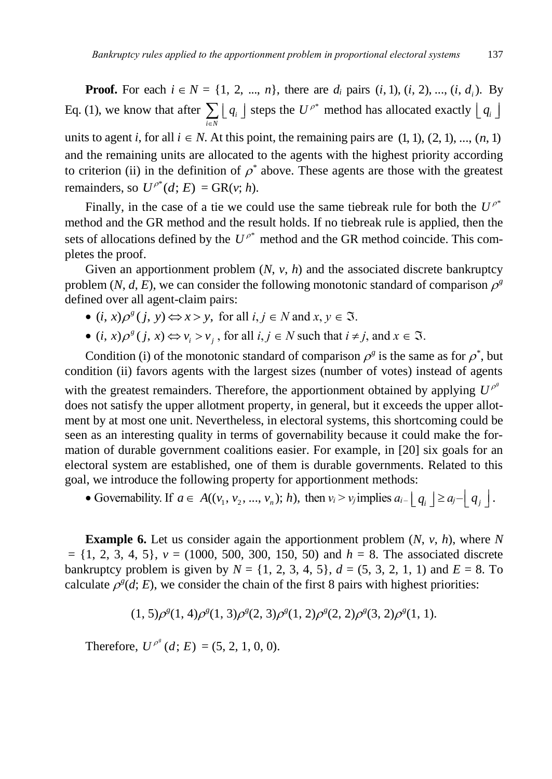**Proof.** For each  $i \in N = \{1, 2, ..., n\}$ , there are  $d_i$  pairs  $(i, 1), (i, 2), ..., (i, d_i)$ . By Eq. (1), we know that after  $\sum_{i \in N} \lfloor q_i \rfloor$ *q*  $\sum_{i \in N} \lfloor q_i \rfloor$  steps the  $U^{\rho^*}$  method has allocated exactly  $\lfloor q_i \rfloor$ units to agent *i*, for all  $i \in N$ . At this point, the remaining pairs are  $(1, 1), (2, 1), ..., (n, 1)$ and the remaining units are allocated to the agents with the highest priority according to criterion (ii) in the definition of  $\rho^*$  above. These agents are those with the greatest remainders, so  $U^{\rho^*}(d; E) = \text{GR}(v; h)$ .

Finally, in the case of a tie we could use the same tiebreak rule for both the  $U^{\rho^*}$ method and the GR method and the result holds. If no tiebreak rule is applied, then the sets of allocations defined by the  $U^{\rho^*}$  method and the GR method coincide. This completes the proof.

Given an apportionment problem  $(N, v, h)$  and the associated discrete bankruptcy problem  $(N, d, E)$ , we can consider the following monotonic standard of comparison  $\rho^g$ defined over all agent-claim pairs:

- $(i, x)\rho^{g}(j, y) \Leftrightarrow x > y$ , for all  $i, j \in N$  and  $x, y \in \Im$ .
- $(i, x)\rho^{g}(j, x) \Longleftrightarrow v_{i} > v_{j}$ , for all  $i, j \in N$  such that  $i \neq j$ , and  $x \in \Im$ .

Condition (i) of the monotonic standard of comparison  $\rho^g$  is the same as for  $\rho^*$ , but condition (ii) favors agents with the largest sizes (number of votes) instead of agents with the greatest remainders. Therefore, the apportionment obtained by applying  $U^{\rho^s}$ does not satisfy the upper allotment property, in general, but it exceeds the upper allotment by at most one unit. Nevertheless, in electoral systems, this shortcoming could be seen as an interesting quality in terms of governability because it could make the formation of durable government coalitions easier. For example, in [20] six goals for an electoral system are established, one of them is durable governments. Related to this goal, we introduce the following property for apportionment methods:

• Governability. If  $a \in A((v_1, v_2, ..., v_n); h)$ , then  $v_i > v_j$  implies  $a_{i-1} \mid q_i \mid \ge a_j - \mid q_j \mid$ .

**Example 6.** Let us consider again the apportionment problem (*N*, *v*, *h*), where *N* = {1, 2, 3, 4, 5}, *v* = (1000, 500, 300, 150, 50) and *h* = 8. The associated discrete bankruptcy problem is given by  $N = \{1, 2, 3, 4, 5\}, d = (5, 3, 2, 1, 1)$  and  $E = 8$ . To calculate  $\rho^s(d; E)$ , we consider the chain of the first 8 pairs with highest priorities:

$$
(1, 5)\rho^{g}(1, 4)\rho^{g}(1, 3)\rho^{g}(2, 3)\rho^{g}(1, 2)\rho^{g}(2, 2)\rho^{g}(3, 2)\rho^{g}(1, 1).
$$

Therefore,  $U^{\rho^s}(d; E) = (5, 2, 1, 0, 0)$ .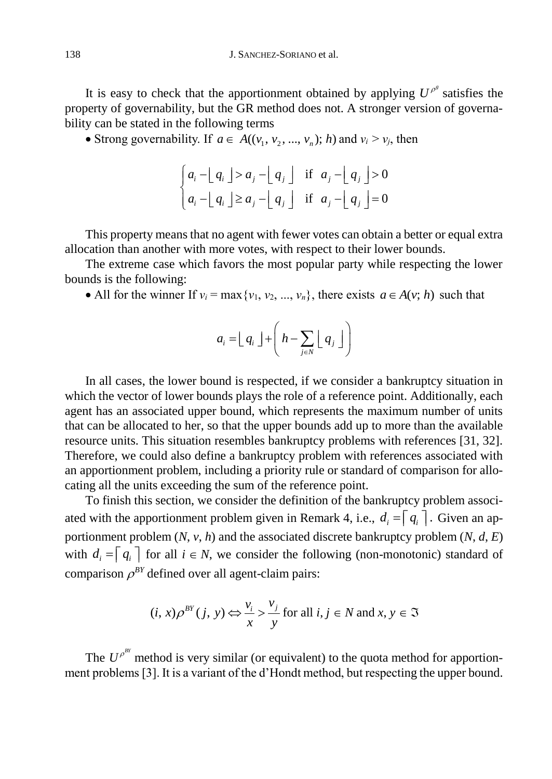It is easy to check that the apportionment obtained by applying  $U^{\rho^s}$  satisfies the property of governability, but the GR method does not. A stronger version of governability can be stated in the following terms

Strong governability. If  $a \in A((v_1, v_2, ..., v_n); h)$  and  $v_i > v_j$ , then

$$
\begin{cases} a_i - \lfloor q_i \rfloor > a_j - \lfloor q_j \rfloor & \text{if } a_j - \lfloor q_j \rfloor > 0 \\ a_i - \lfloor q_i \rfloor \ge a_j - \lfloor q_j \rfloor & \text{if } a_j - \lfloor q_j \rfloor = 0 \end{cases}
$$

This property means that no agent with fewer votes can obtain a better or equal extra allocation than another with more votes, with respect to their lower bounds.

The extreme case which favors the most popular party while respecting the lower bounds is the following:

• All for the winner If  $v_i = \max\{v_1, v_2, ..., v_n\}$ , there exists  $a \in A(v; h)$  such that

$$
a_i = \lfloor q_i \rfloor + \left( h - \sum_{j \in N} \lfloor q_j \rfloor \right)
$$

In all cases, the lower bound is respected, if we consider a bankruptcy situation in which the vector of lower bounds plays the role of a reference point. Additionally, each agent has an associated upper bound, which represents the maximum number of units that can be allocated to her, so that the upper bounds add up to more than the available resource units. This situation resembles bankruptcy problems with references [31, 32]. Therefore, we could also define a bankruptcy problem with references associated with an apportionment problem, including a priority rule or standard of comparison for allocating all the units exceeding the sum of the reference point.

To finish this section, we consider the definition of the bankruptcy problem associated with the apportionment problem given in Remark 4, i.e.,  $d_i = |q_i|$ . Given an apportionment problem (*N*, *v*, *h*) and the associated discrete bankruptcy problem (*N*, *d*, *E*) with  $d_i = |q_i|$  for all  $i \in N$ , we consider the following (non-monotonic) standard of comparison  $\rho^{BY}$  defined over all agent-claim pairs:

$$
(i, x)\rho^{BY}(j, y) \Leftrightarrow \frac{v_i}{x} > \frac{v_j}{y}
$$
 for all  $i, j \in N$  and  $x, y \in \mathfrak{I}$ 

The  $U^{\rho^{BY}}$  method is very similar (or equivalent) to the quota method for apportionment problems [3]. It is a variant of the d'Hondt method, but respecting the upper bound.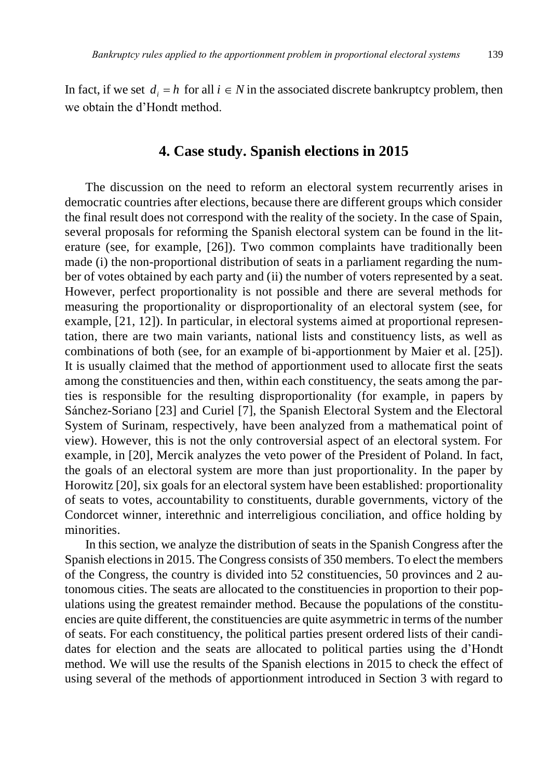In fact, if we set  $d_i = h$  for all  $i \in N$  in the associated discrete bankruptcy problem, then we obtain the d'Hondt method.

## **4. Case study. Spanish elections in 2015**

The discussion on the need to reform an electoral system recurrently arises in democratic countries after elections, because there are different groups which consider the final result does not correspond with the reality of the society. In the case of Spain, several proposals for reforming the Spanish electoral system can be found in the literature (see, for example, [26]). Two common complaints have traditionally been made (i) the non-proportional distribution of seats in a parliament regarding the number of votes obtained by each party and (ii) the number of voters represented by a seat. However, perfect proportionality is not possible and there are several methods for measuring the proportionality or disproportionality of an electoral system (see, for example, [21, 12]). In particular, in electoral systems aimed at proportional representation, there are two main variants, national lists and constituency lists, as well as combinations of both (see, for an example of bi-apportionment by Maier et al. [25]). It is usually claimed that the method of apportionment used to allocate first the seats among the constituencies and then, within each constituency, the seats among the parties is responsible for the resulting disproportionality (for example, in papers by Sánchez-Soriano [23] and Curiel [7], the Spanish Electoral System and the Electoral System of Surinam, respectively, have been analyzed from a mathematical point of view). However, this is not the only controversial aspect of an electoral system. For example, in [20], Mercik analyzes the veto power of the President of Poland. In fact, the goals of an electoral system are more than just proportionality. In the paper by Horowitz [20], six goals for an electoral system have been established: proportionality of seats to votes, accountability to constituents, durable governments, victory of the Condorcet winner, interethnic and interreligious conciliation, and office holding by minorities.

In this section, we analyze the distribution of seats in the Spanish Congress after the Spanish elections in 2015. The Congress consists of 350 members. To elect the members of the Congress, the country is divided into 52 constituencies, 50 provinces and 2 autonomous cities. The seats are allocated to the constituencies in proportion to their populations using the greatest remainder method. Because the populations of the constituencies are quite different, the constituencies are quite asymmetric in terms of the number of seats. For each constituency, the political parties present ordered lists of their candidates for election and the seats are allocated to political parties using the d'Hondt method. We will use the results of the Spanish elections in 2015 to check the effect of using several of the methods of apportionment introduced in Section 3 with regard to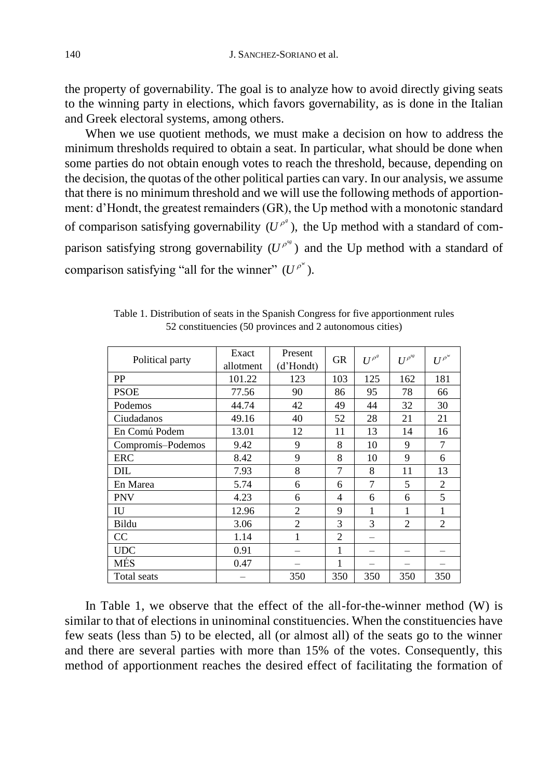the property of governability. The goal is to analyze how to avoid directly giving seats to the winning party in elections, which favors governability, as is done in the Italian and Greek electoral systems, among others.

When we use quotient methods, we must make a decision on how to address the minimum thresholds required to obtain a seat. In particular, what should be done when some parties do not obtain enough votes to reach the threshold, because, depending on the decision, the quotas of the other political parties can vary. In our analysis, we assume that there is no minimum threshold and we will use the following methods of apportionment: d'Hondt, the greatest remainders (GR), the Up method with a monotonic standard of comparison satisfying governability  $(U^{\rho^s})$ , the Up method with a standard of comparison satisfying strong governability  $(U^{\rho^{ss}})$  and the Up method with a standard of comparison satisfying "all for the winner"  $(U^{\rho^w})$ .

| Political party   | Exact<br>allotment | Present<br>(d'Hondt) | <b>GR</b>      | $U^{\rho^s}$ | $U^{\rho^{sg}}$ | $U^{\rho^w}$   |
|-------------------|--------------------|----------------------|----------------|--------------|-----------------|----------------|
| PP                | 101.22             | 123                  | 103            | 125          | 162             | 181            |
| <b>PSOE</b>       | 77.56              | 90                   | 86             | 95           | 78              | 66             |
| Podemos           | 44.74              | 42                   | 49             | 44           | 32              | 30             |
| Ciudadanos        | 49.16              | 40                   | 52             | 28           | 21              | 21             |
| En Comú Podem     | 13.01              | 12                   | 11             | 13           | 14              | 16             |
| Compromís-Podemos | 9.42               | 9                    | 8              | 10           | 9               | 7              |
| ERC               | 8.42               | 9                    | 8              | 10           | 9               | 6              |
| DIL               | 7.93               | 8                    | 7              | 8            | 11              | 13             |
| En Marea          | 5.74               | 6                    | 6              | 7            | 5               | 2              |
| <b>PNV</b>        | 4.23               | 6                    | 4              | 6            | 6               | 5              |
| IU                | 12.96              | $\overline{2}$       | 9              | 1            | 1               | $\mathbf{1}$   |
| Bildu             | 3.06               | $\overline{c}$       | 3              | 3            | $\overline{c}$  | $\overline{c}$ |
| CC                | 1.14               | 1                    | $\overline{c}$ |              |                 |                |
| <b>UDC</b>        | 0.91               |                      | 1              |              |                 |                |
| <b>MÉS</b>        | 0.47               |                      |                |              |                 |                |
| Total seats       |                    | 350                  | 350            | 350          | 350             | 350            |

Table 1. Distribution of seats in the Spanish Congress for five apportionment rules 52 constituencies (50 provinces and 2 autonomous cities)

In Table 1, we observe that the effect of the all-for-the-winner method (W) is similar to that of elections in uninominal constituencies. When the constituencies have few seats (less than 5) to be elected, all (or almost all) of the seats go to the winner and there are several parties with more than 15% of the votes. Consequently, this method of apportionment reaches the desired effect of facilitating the formation of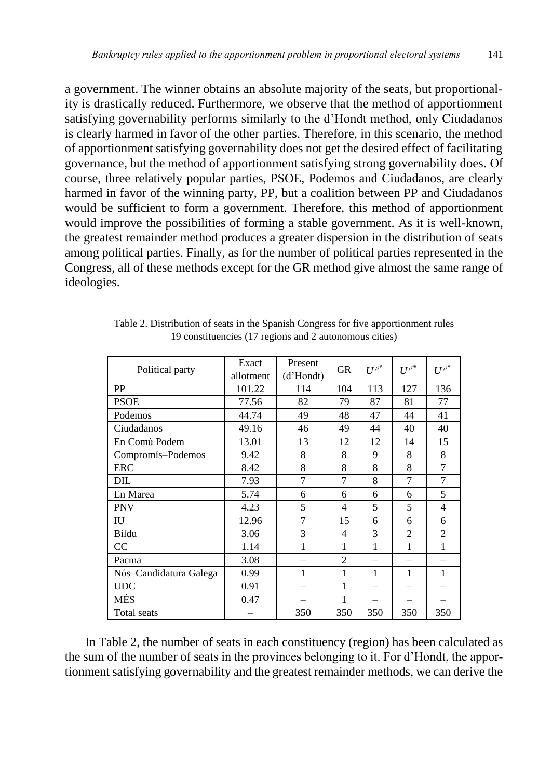a government. The winner obtains an absolute majority of the seats, but proportionality is drastically reduced. Furthermore, we observe that the method of apportionment satisfying governability performs similarly to the d'Hondt method, only Ciudadanos is clearly harmed in favor of the other parties. Therefore, in this scenario, the method of apportionment satisfying governability does not get the desired effect of facilitating governance, but the method of apportionment satisfying strong governability does. Of course, three relatively popular parties, PSOE, Podemos and Ciudadanos, are clearly harmed in favor of the winning party, PP, but a coalition between PP and Ciudadanos would be sufficient to form a government. Therefore, this method of apportionment would improve the possibilities of forming a stable government. As it is well-known, the greatest remainder method produces a greater dispersion in the distribution of seats among political parties. Finally, as for the number of political parties represented in the Congress, all of these methods except for the GR method give almost the same range of ideologies.

| Political party        | Exact     | Present   | <b>GR</b>      | $U^{\rho^s}$ | $U^{\rho^{sg}}$ | $U^{\rho^w}$   |
|------------------------|-----------|-----------|----------------|--------------|-----------------|----------------|
|                        | allotment | (d'Hondt) |                |              |                 |                |
| PP                     | 101.22    | 114       | 104            | 113          | 127             | 136            |
| <b>PSOE</b>            | 77.56     | 82        | 79             | 87           | 81              | 77             |
| Podemos                | 44.74     | 49        | 48             | 47           | 44              | 41             |
| Ciudadanos             | 49.16     | 46        | 49             | 44           | 40              | 40             |
| En Comú Podem          | 13.01     | 13        | 12             | 12           | 14              | 15             |
| Compromís-Podemos      | 9.42      | 8         | 8              | 9            | 8               | 8              |
| <b>ERC</b>             | 8.42      | 8         | 8              | 8            | 8               | 7              |
| DIL                    | 7.93      | 7         | 7              | 8            | 7               | 7              |
| En Marea               | 5.74      | 6         | 6              | 6            | 6               | 5              |
| PNV                    | 4.23      | 5         | 4              | 5            | 5               | 4              |
| IU                     | 12.96     | 7         | 15             | 6            | 6               | 6              |
| Bildu                  | 3.06      | 3         | 4              | 3            | $\overline{2}$  | $\overline{2}$ |
| CC                     | 1.14      | 1         | 1              | 1            | 1               | 1              |
| Pacma                  | 3.08      |           | $\overline{c}$ |              |                 |                |
| Nós-Candidatura Galega | 0.99      | 1         | 1              | 1            | 1               | 1              |
| <b>UDC</b>             | 0.91      |           | 1              |              |                 |                |
| MÉS                    | 0.47      |           | 1              |              |                 |                |
| Total seats            |           | 350       | 350            | 350          | 350             | 350            |

Table 2. Distribution of seats in the Spanish Congress for five apportionment rules 19 constituencies (17 regions and 2 autonomous cities)

In Table 2, the number of seats in each constituency (region) has been calculated as the sum of the number of seats in the provinces belonging to it. For d'Hondt, the apportionment satisfying governability and the greatest remainder methods, we can derive the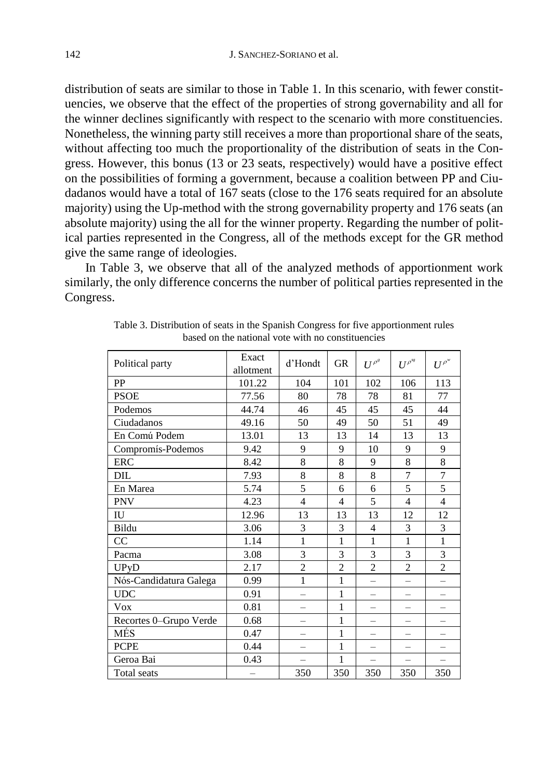distribution of seats are similar to those in Table 1. In this scenario, with fewer constituencies, we observe that the effect of the properties of strong governability and all for the winner declines significantly with respect to the scenario with more constituencies. Nonetheless, the winning party still receives a more than proportional share of the seats, without affecting too much the proportionality of the distribution of seats in the Congress. However, this bonus (13 or 23 seats, respectively) would have a positive effect on the possibilities of forming a government, because a coalition between PP and Ciudadanos would have a total of 167 seats (close to the 176 seats required for an absolute majority) using the Up-method with the strong governability property and 176 seats (an absolute majority) using the all for the winner property. Regarding the number of political parties represented in the Congress, all of the methods except for the GR method give the same range of ideologies.

In Table 3, we observe that all of the analyzed methods of apportionment work similarly, the only difference concerns the number of political parties represented in the Congress.

| Political party        | Exact<br>allotment | d'Hondt                  | GR             | $U^{\rho^s}$             | $U^{\rho^{sg}}$          | $U^{\rho^w}$   |
|------------------------|--------------------|--------------------------|----------------|--------------------------|--------------------------|----------------|
| PP                     | 101.22             | 104                      | 101            | 102                      | 106                      | 113            |
| <b>PSOE</b>            | 77.56              | 80                       | 78             | 78                       | 81                       | 77             |
| Podemos                | 44.74              | 46                       | 45             | 45                       | 45                       | 44             |
| Ciudadanos             | 49.16              | 50                       | 49             | 50                       | 51                       | 49             |
| En Comú Podem          | 13.01              | 13                       | 13             | 14                       | 13                       | 13             |
| Compromís-Podemos      | 9.42               | 9                        | 9              | 10                       | 9                        | 9              |
| <b>ERC</b>             | 8.42               | 8                        | 8              | 9                        | 8                        | 8              |
| DIL                    | 7.93               | 8                        | 8              | 8                        | $\overline{7}$           | 7              |
| En Marea               | 5.74               | 5                        | 6              | 6                        | 5                        | 5              |
| <b>PNV</b>             | 4.23               | $\overline{4}$           | $\overline{4}$ | 5                        | $\overline{4}$           | $\overline{4}$ |
| IU                     | 12.96              | 13                       | 13             | 13                       | 12                       | 12             |
| Bildu                  | 3.06               | 3                        | 3              | $\overline{4}$           | 3                        | 3              |
| CC                     | 1.14               | 1                        | 1              | $\mathbf{1}$             | 1                        | $\mathbf{1}$   |
| Pacma                  | 3.08               | 3                        | 3              | 3                        | 3                        | 3              |
| <b>UPyD</b>            | 2.17               | $\overline{c}$           | $\overline{c}$ | $\overline{2}$           | $\overline{2}$           | $\overline{2}$ |
| Nós-Candidatura Galega | 0.99               | $\mathbf{1}$             | 1              | $\equiv$                 | $\overline{\phantom{0}}$ |                |
| <b>UDC</b>             | 0.91               |                          | 1              |                          | $\overline{\phantom{0}}$ |                |
| Vox                    | 0.81               | $\overline{\phantom{0}}$ | 1              | $\equiv$                 | $\overline{\phantom{0}}$ |                |
| Recortes 0-Grupo Verde | 0.68               | $\overline{\phantom{0}}$ | 1              | $\equiv$                 | $\equiv$                 |                |
| MÉS                    | 0.47               |                          | 1              |                          | $\overline{\phantom{0}}$ |                |
| <b>PCPE</b>            | 0.44               | $=$                      | 1              | $=$                      | $=$                      |                |
| Geroa Bai              | 0.43               |                          | 1              | $\overline{\phantom{0}}$ | $\equiv$                 |                |
| Total seats            |                    | 350                      | 350            | 350                      | 350                      | 350            |

Table 3. Distribution of seats in the Spanish Congress for five apportionment rules based on the national vote with no constituencies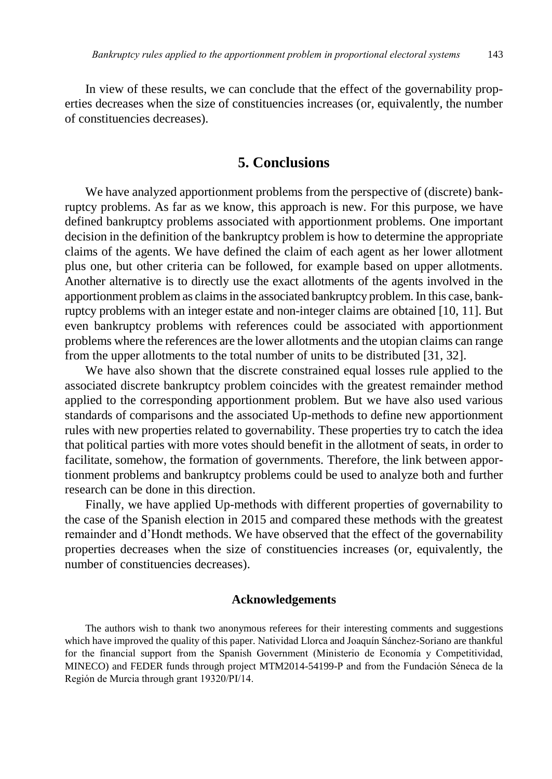In view of these results, we can conclude that the effect of the governability properties decreases when the size of constituencies increases (or, equivalently, the number of constituencies decreases).

## **5. Conclusions**

We have analyzed apportionment problems from the perspective of (discrete) bankruptcy problems. As far as we know, this approach is new. For this purpose, we have defined bankruptcy problems associated with apportionment problems. One important decision in the definition of the bankruptcy problem is how to determine the appropriate claims of the agents. We have defined the claim of each agent as her lower allotment plus one, but other criteria can be followed, for example based on upper allotments. Another alternative is to directly use the exact allotments of the agents involved in the apportionment problem as claims in the associated bankruptcy problem. In this case, bankruptcy problems with an integer estate and non-integer claims are obtained [10, 11]. But even bankruptcy problems with references could be associated with apportionment problems where the references are the lower allotments and the utopian claims can range from the upper allotments to the total number of units to be distributed [31, 32].

We have also shown that the discrete constrained equal losses rule applied to the associated discrete bankruptcy problem coincides with the greatest remainder method applied to the corresponding apportionment problem. But we have also used various standards of comparisons and the associated Up-methods to define new apportionment rules with new properties related to governability. These properties try to catch the idea that political parties with more votes should benefit in the allotment of seats, in order to facilitate, somehow, the formation of governments. Therefore, the link between apportionment problems and bankruptcy problems could be used to analyze both and further research can be done in this direction.

Finally, we have applied Up-methods with different properties of governability to the case of the Spanish election in 2015 and compared these methods with the greatest remainder and d'Hondt methods. We have observed that the effect of the governability properties decreases when the size of constituencies increases (or, equivalently, the number of constituencies decreases).

### **Acknowledgements**

The authors wish to thank two anonymous referees for their interesting comments and suggestions which have improved the quality of this paper. Natividad Llorca and Joaquín Sánchez-Soriano are thankful for the financial support from the Spanish Government (Ministerio de Economía y Competitividad, MINECO) and FEDER funds through project MTM2014-54199-P and from the Fundación Séneca de la Región de Murcia through grant 19320/PI/14.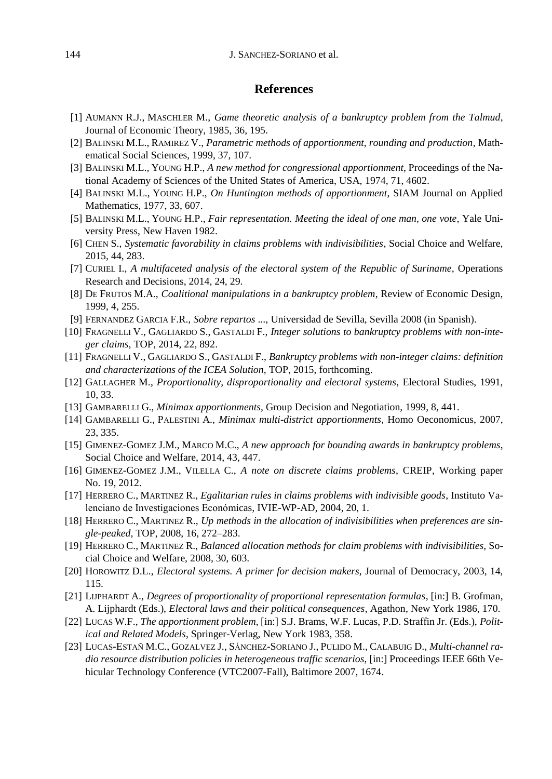#### **References**

- [1] AUMANN R.J., MASCHLER M., *Game theoretic analysis of a bankruptcy problem from the Talmud*, Journal of Economic Theory, 1985, 36, 195.
- [2] BALINSKI M.L., RAMIREZ V., *Parametric methods of apportionment, rounding and production*, Mathematical Social Sciences, 1999, 37, 107.
- [3] BALINSKI M.L., YOUNG H.P., *A new method for congressional apportionment*, Proceedings of the National Academy of Sciences of the United States of America, USA, 1974, 71, 4602.
- [4] BALINSKI M.L., YOUNG H.P., *On Huntington methods of apportionment*, SIAM Journal on Applied Mathematics, 1977, 33, 607.
- [5] BALINSKI M.L., YOUNG H.P., *Fair representation. Meeting the ideal of one man, one vote*, Yale University Press, New Haven 1982.
- [6] CHEN S., *Systematic favorability in claims problems with indivisibilities*, Social Choice and Welfare, 2015, 44, 283.
- [7] CURIEL I., *A multifaceted analysis of the electoral system of the Republic of Suriname*, Operations Research and Decisions, 2014, 24, 29.
- [8] DE FRUTOS M.A., *Coalitional manipulations in a bankruptcy problem*, Review of Economic Design, 1999, 4, 255.
- [9] FERNANDEZ GARCIA F.R., *Sobre repartos* ..., Universidad de Sevilla, Sevilla 2008 (in Spanish).
- [10] FRAGNELLI V., GAGLIARDO S., GASTALDI F., *Integer solutions to bankruptcy problems with non-integer claims*, TOP, 2014, 22, 892.
- [11] FRAGNELLI V., GAGLIARDO S., GASTALDI F., *Bankruptcy problems with non-integer claims: definition and characterizations of the ICEA Solution*, TOP, 2015, forthcoming.
- [12] GALLAGHER M., *Proportionality, disproportionality and electoral systems*, Electoral Studies, 1991, 10, 33.
- [13] GAMBARELLI G., *Minimax apportionments*, Group Decision and Negotiation, 1999, 8, 441.
- [14] GAMBARELLI G., PALESTINI A., *Minimax multi-district apportionments*, Homo Oeconomicus, 2007, 23, 335.
- [15] GIMENEZ-GOMEZ J.M., MARCO M.C., *A new approach for bounding awards in bankruptcy problems*, Social Choice and Welfare, 2014, 43, 447.
- [16] GIMENEZ-GOMEZ J.M., VILELLA C., *A note on discrete claims problems*, CREIP, Working paper No. 19, 2012.
- [17] HERRERO C., MARTINEZ R., *Egalitarian rules in claims problems with indivisible goods*, Instituto Valenciano de Investigaciones Económicas, IVIE-WP-AD, 2004, 20, 1.
- [18] HERRERO C., MARTINEZ R., *Up methods in the allocation of indivisibilities when preferences are single-peaked*, TOP, 2008, 16, 272–283.
- [19] HERRERO C., MARTINEZ R., *Balanced allocation methods for claim problems with indivisibilities*, Social Choice and Welfare, 2008, 30, 603.
- [20] HOROWITZ D.L., *Electoral systems. A primer for decision makers*, Journal of Democracy, 2003, 14, 115.
- [21] LIJPHARDT A., *Degrees of proportionality of proportional representation formulas*, [in:] B. Grofman, A. Lijphardt (Eds.), *Electoral laws and their political consequences*, Agathon, New York 1986, 170.
- [22] LUCAS W.F., *The apportionment problem*, [in:] S.J. Brams, W.F. Lucas, P.D. Straffin Jr. (Eds.), *Political and Related Models*, Springer-Verlag, New York 1983, 358.
- [23] LUCAS-ESTAÑ M.C., GOZALVEZ J., SÁNCHEZ-SORIANO J., PULIDO M., CALABUIG D., *Multi-channel radio resource distribution policies in heterogeneous traffic scenarios*, [in:] Proceedings IEEE 66th Vehicular Technology Conference (VTC2007-Fall), Baltimore 2007, 1674.